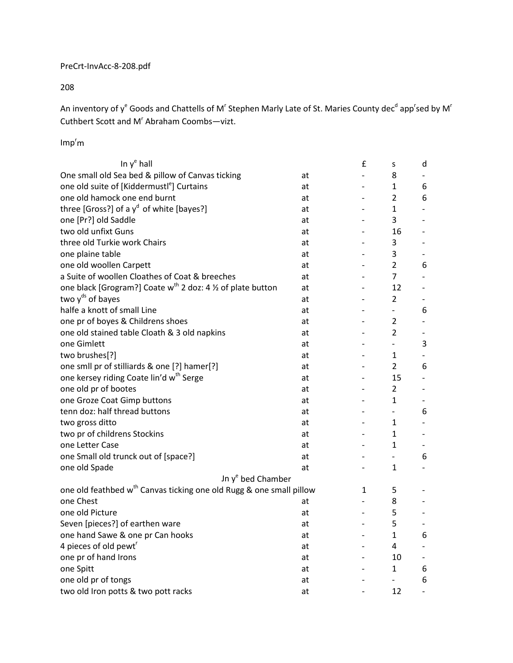## PreCrt-InvAcc-8-208.pdf

208

An inventory of y<sup>e</sup> Goods and Chattells of M<sup>r</sup> Stephen Marly Late of St. Maries County dec<sup>d</sup> app<sup>r</sup>sed by M<sup>r</sup> Cuthbert Scott and M<sup>r</sup> Abraham Coombs-vizt.

 $Imp<sup>r</sup>$ m

| In $y^e$ hall                                                                   |    | £                            | S                        | d                        |
|---------------------------------------------------------------------------------|----|------------------------------|--------------------------|--------------------------|
| One small old Sea bed & pillow of Canvas ticking                                | at | $\overline{a}$               | 8                        |                          |
| one old suite of [Kiddermustl <sup>e</sup> ] Curtains                           | at | $\overline{a}$               | 1                        | 6                        |
| one old hamock one end burnt                                                    | at | $\overline{\phantom{0}}$     | $\overline{2}$           | 6                        |
| three [Gross?] of a $y^d$ of white [bayes?]                                     | at | $\overline{\phantom{a}}$     | $\mathbf{1}$             | $\overline{\phantom{a}}$ |
| one [Pr?] old Saddle                                                            | at | $\overline{\phantom{a}}$     | 3                        | $\overline{\phantom{a}}$ |
| two old unfixt Guns                                                             | at | $\overline{\phantom{a}}$     | 16                       | $\overline{\phantom{a}}$ |
| three old Turkie work Chairs                                                    | at | $\overline{\phantom{0}}$     | 3                        | $\overline{\phantom{0}}$ |
| one plaine table                                                                | at | $\overline{\phantom{0}}$     | 3                        |                          |
| one old woollen Carpett                                                         | at | $\overline{a}$               | $\overline{2}$           | 6                        |
| a Suite of woollen Cloathes of Coat & breeches                                  | at | $\overline{a}$               | $\overline{7}$           |                          |
| one black [Grogram?] Coate w <sup>th</sup> 2 doz: 4 1/2 of plate button         | at | $\overline{\phantom{0}}$     | 12                       |                          |
| two $yds$ of bayes                                                              | at | $\overline{\phantom{a}}$     | $\overline{2}$           | -                        |
| halfe a knott of small Line                                                     | at | $\overline{\phantom{0}}$     | $\overline{a}$           | 6                        |
| one pr of boyes & Childrens shoes                                               | at | $\overline{\phantom{0}}$     | 2                        | $\overline{\phantom{0}}$ |
| one old stained table Cloath & 3 old napkins                                    | at | $\overline{\phantom{0}}$     | $\overline{2}$           | -                        |
| one Gimlett                                                                     | at | $\overline{a}$               | $\overline{a}$           | 3                        |
| two brushes[?]                                                                  | at | $\qquad \qquad \blacksquare$ | 1                        | $\overline{\phantom{a}}$ |
| one smll pr of stilliards & one [?] hamer[?]                                    | at | $\overline{\phantom{a}}$     | $\overline{2}$           | 6                        |
| one kersey riding Coate lin'd w <sup>th</sup> Serge                             | at | $\overline{\phantom{a}}$     | 15                       | $\overline{\phantom{0}}$ |
| one old pr of bootes                                                            | at | $\overline{\phantom{0}}$     | 2                        | -                        |
| one Groze Coat Gimp buttons                                                     | at | $\overline{a}$               | 1                        |                          |
| tenn doz: half thread buttons                                                   | at | $\overline{a}$               | $\overline{\phantom{a}}$ | 6                        |
| two gross ditto                                                                 | at |                              | 1                        | $\overline{\phantom{a}}$ |
| two pr of childrens Stockins                                                    | at | $\overline{a}$               | $\mathbf{1}$             |                          |
| one Letter Case                                                                 | at | $\overline{\phantom{0}}$     | $\mathbf{1}$             |                          |
| one Small old trunck out of [space?]                                            | at |                              | $\overline{a}$           | 6                        |
| one old Spade                                                                   | at |                              | $\mathbf{1}$             |                          |
| Jn y <sup>e</sup> bed Chamber                                                   |    |                              |                          |                          |
| one old feathbed w <sup>th</sup> Canvas ticking one old Rugg & one small pillow |    | 1                            | 5                        |                          |
| one Chest                                                                       | at | $\qquad \qquad \blacksquare$ | 8                        |                          |
| one old Picture                                                                 | at | $\overline{\phantom{a}}$     | 5                        | $\overline{\phantom{a}}$ |
| Seven [pieces?] of earthen ware                                                 | at | $\overline{\phantom{a}}$     | 5                        | $\overline{\phantom{a}}$ |
| one hand Sawe & one pr Can hooks                                                | at | $\overline{\phantom{a}}$     | $\mathbf{1}$             | 6                        |
| 4 pieces of old pewt <sup>r</sup>                                               | at | $\overline{a}$               | 4                        | $\overline{\phantom{a}}$ |
| one pr of hand Irons                                                            | at |                              | 10                       |                          |
| one Spitt                                                                       | at |                              | $\mathbf{1}$             | 6                        |
| one old pr of tongs                                                             | at |                              | $\frac{1}{2}$            | 6                        |
| two old Iron potts & two pott racks                                             | at | $\overline{\phantom{0}}$     | 12                       | $\overline{\phantom{a}}$ |